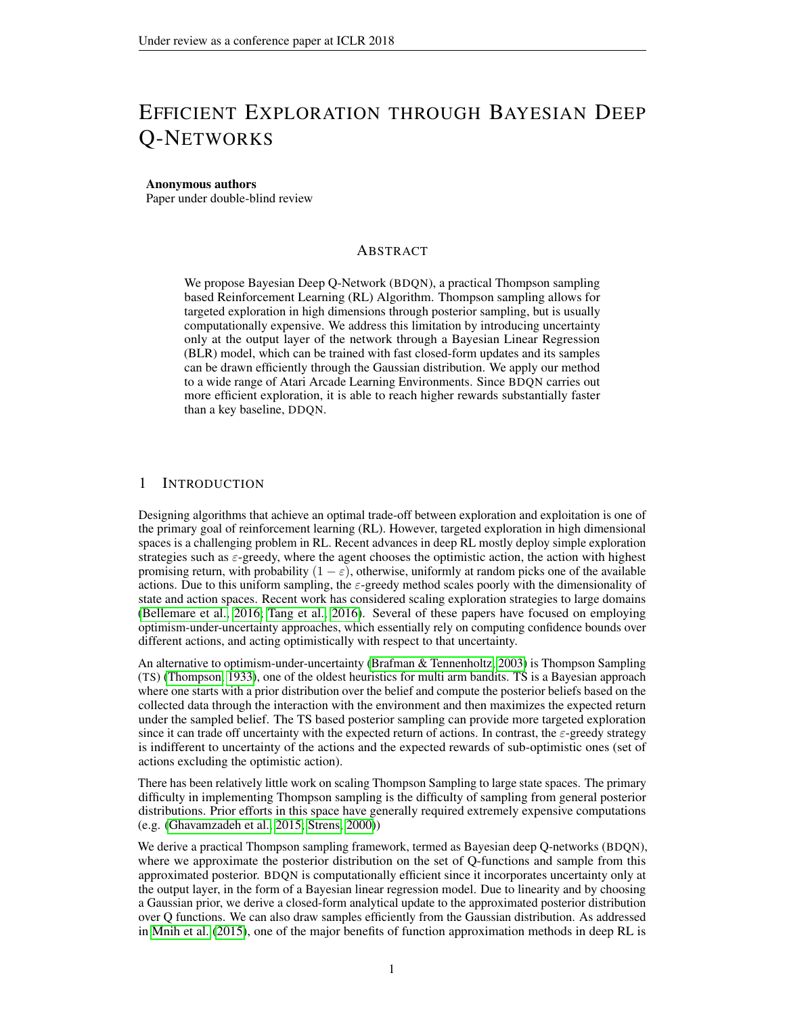# <span id="page-0-0"></span>EFFICIENT EXPLORATION THROUGH BAYESIAN DEEP Q-NETWORKS

#### Anonymous authors

Paper under double-blind review

#### **ABSTRACT**

We propose Bayesian Deep Q-Network (BDQN), a practical Thompson sampling based Reinforcement Learning (RL) Algorithm. Thompson sampling allows for targeted exploration in high dimensions through posterior sampling, but is usually computationally expensive. We address this limitation by introducing uncertainty only at the output layer of the network through a Bayesian Linear Regression (BLR) model, which can be trained with fast closed-form updates and its samples can be drawn efficiently through the Gaussian distribution. We apply our method to a wide range of Atari Arcade Learning Environments. Since BDQN carries out more efficient exploration, it is able to reach higher rewards substantially faster than a key baseline, DDQN.

#### 1 INTRODUCTION

Designing algorithms that achieve an optimal trade-off between exploration and exploitation is one of the primary goal of reinforcement learning (RL). However, targeted exploration in high dimensional spaces is a challenging problem in RL. Recent advances in deep RL mostly deploy simple exploration strategies such as  $\varepsilon$ -greedy, where the agent chooses the optimistic action, the action with highest promising return, with probability  $(1 - \varepsilon)$ , otherwise, uniformly at random picks one of the available actions. Due to this uniform sampling, the  $\varepsilon$ -greedy method scales poorly with the dimensionality of state and action spaces. Recent work has considered scaling exploration strategies to large domains [\(Bellemare et al., 2016;](#page-9-0) [Tang et al., 2016\)](#page-11-0). Several of these papers have focused on employing optimism-under-uncertainty approaches, which essentially rely on computing confidence bounds over different actions, and acting optimistically with respect to that uncertainty.

An alternative to optimism-under-uncertainty [\(Brafman & Tennenholtz, 2003\)](#page-9-1) is Thompson Sampling (TS) [\(Thompson, 1933\)](#page-11-1), one of the oldest heuristics for multi arm bandits. TS is a Bayesian approach where one starts with a prior distribution over the belief and compute the posterior beliefs based on the collected data through the interaction with the environment and then maximizes the expected return under the sampled belief. The TS based posterior sampling can provide more targeted exploration since it can trade off uncertainty with the expected return of actions. In contrast, the  $\varepsilon$ -greedy strategy is indifferent to uncertainty of the actions and the expected rewards of sub-optimistic ones (set of actions excluding the optimistic action).

There has been relatively little work on scaling Thompson Sampling to large state spaces. The primary difficulty in implementing Thompson sampling is the difficulty of sampling from general posterior distributions. Prior efforts in this space have generally required extremely expensive computations (e.g. [\(Ghavamzadeh et al., 2015;](#page-10-0) [Strens, 2000\)](#page-11-2))

We derive a practical Thompson sampling framework, termed as Bayesian deep Q-networks (BDQN), where we approximate the posterior distribution on the set of Q-functions and sample from this approximated posterior. BDQN is computationally efficient since it incorporates uncertainty only at the output layer, in the form of a Bayesian linear regression model. Due to linearity and by choosing a Gaussian prior, we derive a closed-form analytical update to the approximated posterior distribution over Q functions. We can also draw samples efficiently from the Gaussian distribution. As addressed in [Mnih et al.](#page-10-1) [\(2015\)](#page-10-1), one of the major benefits of function approximation methods in deep RL is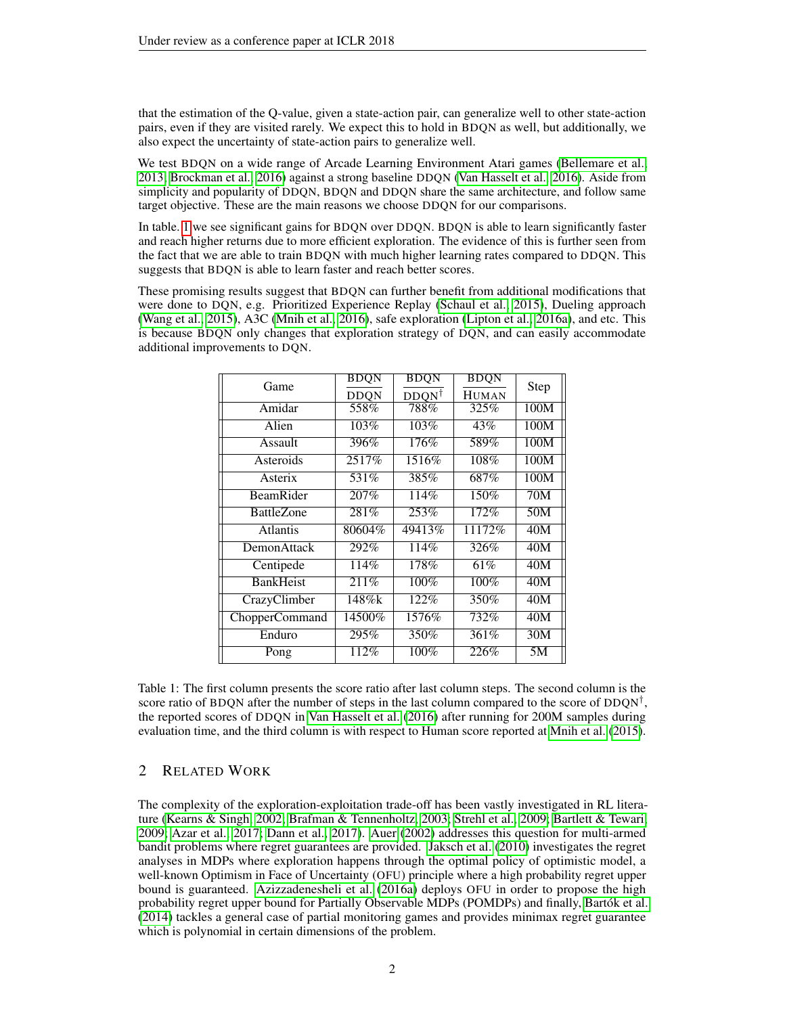that the estimation of the Q-value, given a state-action pair, can generalize well to other state-action pairs, even if they are visited rarely. We expect this to hold in BDQN as well, but additionally, we also expect the uncertainty of state-action pairs to generalize well.

We test BDQN on a wide range of Arcade Learning Environment Atari games [\(Bellemare et al.,](#page-9-2) [2013;](#page-9-2) [Brockman et al., 2016\)](#page-9-3) against a strong baseline DDQN [\(Van Hasselt et al., 2016\)](#page-11-3). Aside from simplicity and popularity of DDQN, BDQN and DDQN share the same architecture, and follow same target objective. These are the main reasons we choose DDQN for our comparisons.

In table. [1](#page-1-0) we see significant gains for BDQN over DDQN. BDQN is able to learn significantly faster and reach higher returns due to more efficient exploration. The evidence of this is further seen from the fact that we are able to train BDQN with much higher learning rates compared to DDQN. This suggests that BDQN is able to learn faster and reach better scores.

These promising results suggest that BDQN can further benefit from additional modifications that were done to DQN, e.g. Prioritized Experience Replay [\(Schaul et al., 2015\)](#page-11-4), Dueling approach [\(Wang et al., 2015\)](#page-11-5), A3C [\(Mnih et al., 2016\)](#page-10-2), safe exploration [\(Lipton et al., 2016a\)](#page-10-3), and etc. This is because BDQN only changes that exploration strategy of DQN, and can easily accommodate additional improvements to DQN.

<span id="page-1-0"></span>

| Game              | BDQN        | BDQN             | BDQN         | Step |  |
|-------------------|-------------|------------------|--------------|------|--|
|                   | <b>DDQN</b> | $DDQN^{\dagger}$ | <b>HUMAN</b> |      |  |
| Amidar            | 558%        | 788%             | 325%         | 100M |  |
| Alien             | 103%        | 103%             | 43%          | 100M |  |
| Assault           | 396%        | 176%             | 589%         | 100M |  |
| Asteroids         | 2517%       | 1516%            | 108%         | 100M |  |
| Asterix           | 531\%       | 385%             | 687%         | 100M |  |
| <b>BeamRider</b>  | 207%        | 114%             | 150%         | 70M  |  |
| <b>BattleZone</b> | 281%        | 253%             | 172%         | 50M  |  |
| <b>Atlantis</b>   | 80604%      | 49413%           | 11172\%      | 40M  |  |
| DemonAttack       | 292%        | 114%             | 326%         | 40M  |  |
| Centipede         | 114%        | 178%             | 61%          | 40M  |  |
| <b>BankHeist</b>  | 211%        | 100%             | 100%         | 40M  |  |
| CrazyClimber      | 148%k       | 122%             | 350%         | 40M  |  |
| ChopperCommand    | $14500\%$   | 1576%            | 732%         | 40M  |  |
| Enduro            | 295%        | 350%             | 361%         | 30M  |  |
| Pong              | 112%        | 100%             | 226%         | 5M   |  |

Table 1: The first column presents the score ratio after last column steps. The second column is the score ratio of BDQN after the number of steps in the last column compared to the score of  $DDQN^{\dagger}$ , the reported scores of DDQN in [Van Hasselt et al.](#page-11-3) [\(2016\)](#page-11-3) after running for 200M samples during evaluation time, and the third column is with respect to Human score reported at [Mnih et al.](#page-10-1) [\(2015\)](#page-10-1).

## 2 RELATED WORK

The complexity of the exploration-exploitation trade-off has been vastly investigated in RL literature [\(Kearns & Singh, 2002;](#page-10-4) [Brafman & Tennenholtz, 2003;](#page-9-1) [Strehl et al., 2009;](#page-11-6) [Bartlett & Tewari,](#page-9-4) [2009;](#page-9-4) [Azar et al., 2017;](#page-9-5) [Dann et al., 2017\)](#page-9-6). [Auer](#page-9-7) [\(2002\)](#page-9-7) addresses this question for multi-armed bandit problems where regret guarantees are provided. [Jaksch et al.](#page-10-5) [\(2010\)](#page-10-5) investigates the regret analyses in MDPs where exploration happens through the optimal policy of optimistic model, a well-known Optimism in Face of Uncertainty (OFU) principle where a high probability regret upper bound is guaranteed. [Azizzadenesheli et al.](#page-9-8) [\(2016a\)](#page-9-8) deploys OFU in order to propose the high probability regret upper bound for Partially Observable MDPs (POMDPs) and finally, [Bartók et al.](#page-9-9) [\(2014\)](#page-9-9) tackles a general case of partial monitoring games and provides minimax regret guarantee which is polynomial in certain dimensions of the problem.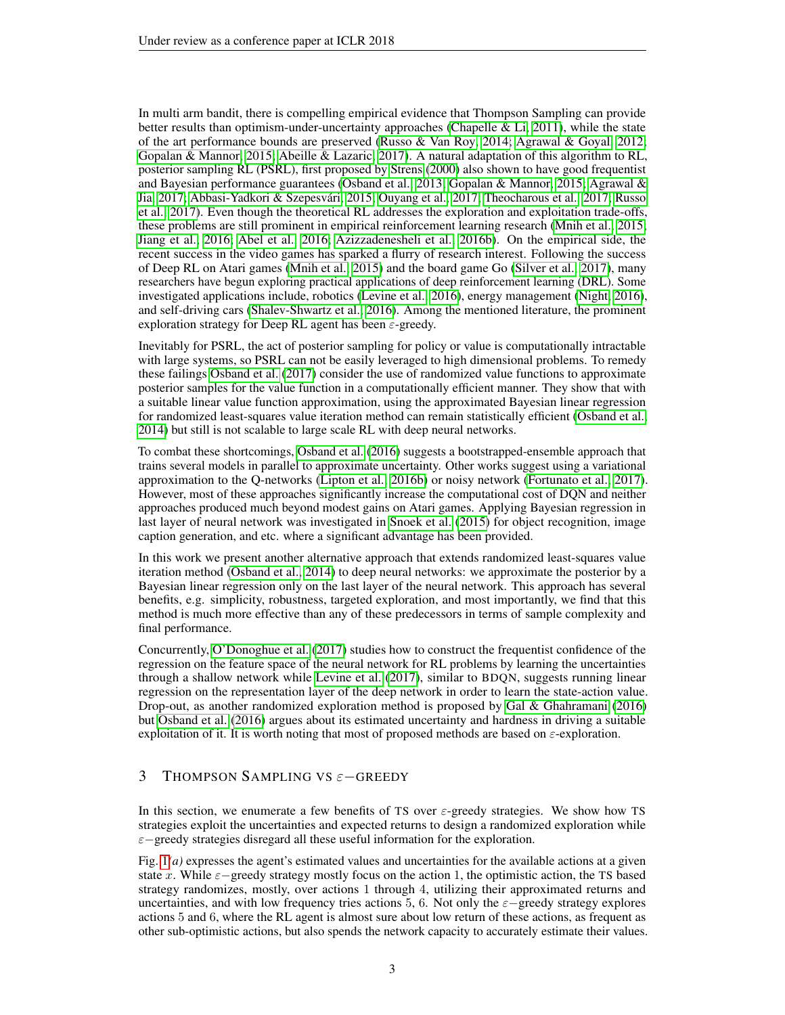In multi arm bandit, there is compelling empirical evidence that Thompson Sampling can provide better results than optimism-under-uncertainty approaches (Chapelle  $&$  Li, 2011), while the state of the art performance bounds are preserved [\(Russo & Van Roy, 2014;](#page-10-6) [Agrawal & Goyal, 2012;](#page-9-11) [Gopalan & Mannor, 2015;](#page-10-7) [Abeille & Lazaric, 2017\)](#page-9-12). A natural adaptation of this algorithm to RL, posterior sampling RL (PSRL), first proposed by [Strens](#page-11-2) [\(2000\)](#page-11-2) also shown to have good frequentist and Bayesian performance guarantees [\(Osband et al., 2013;](#page-10-8) [Gopalan & Mannor, 2015;](#page-10-7) [Agrawal &](#page-9-13) [Jia, 2017;](#page-9-13) [Abbasi-Yadkori & Szepesvári, 2015;](#page-9-14) [Ouyang et al., 2017;](#page-10-9) [Theocharous et al., 2017;](#page-11-7) [Russo](#page-10-10) [et al., 2017\)](#page-10-10). Even though the theoretical RL addresses the exploration and exploitation trade-offs, these problems are still prominent in empirical reinforcement learning research [\(Mnih et al., 2015;](#page-10-1) [Jiang et al., 2016;](#page-10-11) [Abel et al., 2016;](#page-9-15) [Azizzadenesheli et al., 2016b\)](#page-9-16). On the empirical side, the recent success in the video games has sparked a flurry of research interest. Following the success of Deep RL on Atari games [\(Mnih et al., 2015\)](#page-10-1) and the board game Go [\(Silver et al., 2017\)](#page-11-8), many researchers have begun exploring practical applications of deep reinforcement learning (DRL). Some investigated applications include, robotics [\(Levine et al., 2016\)](#page-10-12), energy management [\(Night, 2016\)](#page-10-13), and self-driving cars [\(Shalev-Shwartz et al., 2016\)](#page-11-9). Among the mentioned literature, the prominent exploration strategy for Deep RL agent has been  $\varepsilon$ -greedy.

Inevitably for PSRL, the act of posterior sampling for policy or value is computationally intractable with large systems, so PSRL can not be easily leveraged to high dimensional problems. To remedy these failings [Osband et al.](#page-10-14) [\(2017\)](#page-10-14) consider the use of randomized value functions to approximate posterior samples for the value function in a computationally efficient manner. They show that with a suitable linear value function approximation, using the approximated Bayesian linear regression for randomized least-squares value iteration method can remain statistically efficient [\(Osband et al.,](#page-10-15) [2014\)](#page-10-15) but still is not scalable to large scale RL with deep neural networks.

To combat these shortcomings, [Osband et al.](#page-10-16) [\(2016\)](#page-10-16) suggests a bootstrapped-ensemble approach that trains several models in parallel to approximate uncertainty. Other works suggest using a variational approximation to the Q-networks [\(Lipton et al., 2016b\)](#page-10-17) or noisy network [\(Fortunato et al., 2017\)](#page-9-17). However, most of these approaches significantly increase the computational cost of DQN and neither approaches produced much beyond modest gains on Atari games. Applying Bayesian regression in last layer of neural network was investigated in [Snoek et al.](#page-11-10) [\(2015\)](#page-11-10) for object recognition, image caption generation, and etc. where a significant advantage has been provided.

In this work we present another alternative approach that extends randomized least-squares value iteration method [\(Osband et al., 2014\)](#page-10-15) to deep neural networks: we approximate the posterior by a Bayesian linear regression only on the last layer of the neural network. This approach has several benefits, e.g. simplicity, robustness, targeted exploration, and most importantly, we find that this method is much more effective than any of these predecessors in terms of sample complexity and final performance.

Concurrently, [O'Donoghue et al.](#page-10-18) [\(2017\)](#page-10-18) studies how to construct the frequentist confidence of the regression on the feature space of the neural network for RL problems by learning the uncertainties through a shallow network while [Levine et al.](#page-10-19) [\(2017\)](#page-10-19), similar to BDQN, suggests running linear regression on the representation layer of the deep network in order to learn the state-action value. Drop-out, as another randomized exploration method is proposed by [Gal & Ghahramani](#page-9-18) [\(2016\)](#page-9-18) but [Osband et al.](#page-10-16) [\(2016\)](#page-10-16) argues about its estimated uncertainty and hardness in driving a suitable exploitation of it. It is worth noting that most of proposed methods are based on  $\varepsilon$ -exploration.

## 3 THOMPSON SAMPLING VS ε−GREEDY

In this section, we enumerate a few benefits of TS over  $\varepsilon$ -greedy strategies. We show how TS strategies exploit the uncertainties and expected returns to design a randomized exploration while ε−greedy strategies disregard all these useful information for the exploration.

Fig. [1](#page-3-0)*(a)* expresses the agent's estimated values and uncertainties for the available actions at a given state x. While  $\varepsilon$ −greedy strategy mostly focus on the action 1, the optimistic action, the TS based strategy randomizes, mostly, over actions 1 through 4, utilizing their approximated returns and uncertainties, and with low frequency tries actions 5, 6. Not only the  $\varepsilon$ −greedy strategy explores actions 5 and 6, where the RL agent is almost sure about low return of these actions, as frequent as other sub-optimistic actions, but also spends the network capacity to accurately estimate their values.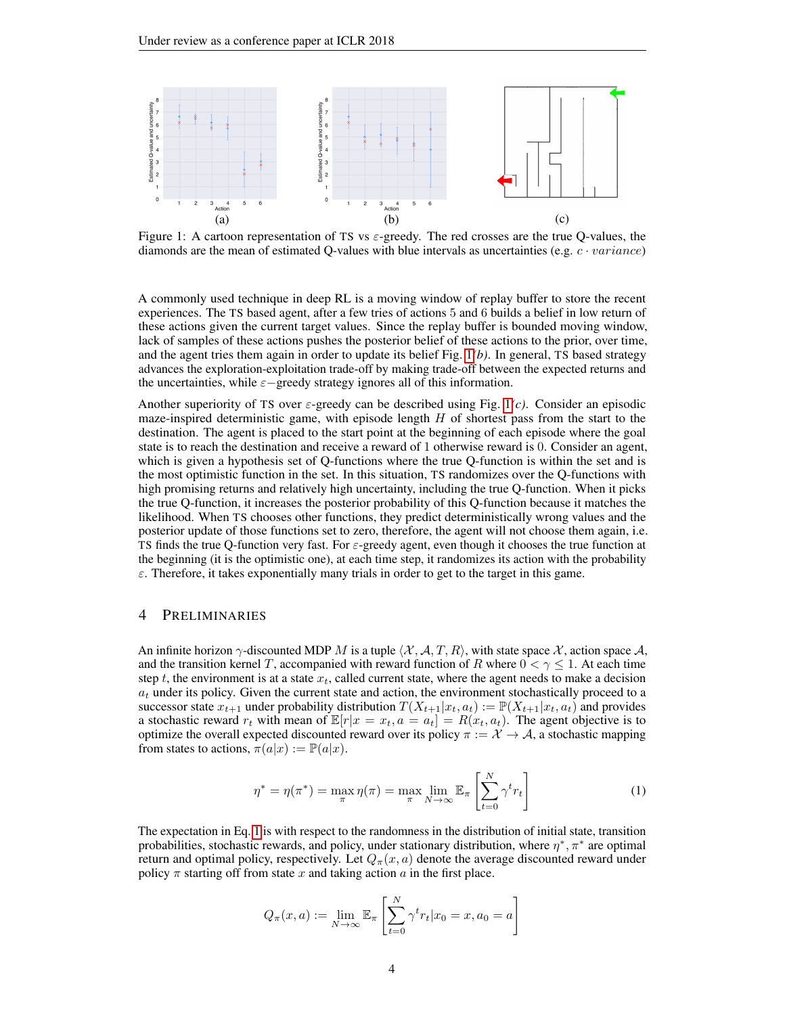<span id="page-3-0"></span>

Figure 1: A cartoon representation of TS vs  $\varepsilon$ -greedy. The red crosses are the true O-values, the diamonds are the mean of estimated Q-values with blue intervals as uncertainties (e.g.  $c \cdot variance$ )

A commonly used technique in deep RL is a moving window of replay buffer to store the recent experiences. The TS based agent, after a few tries of actions 5 and 6 builds a belief in low return of these actions given the current target values. Since the replay buffer is bounded moving window, lack of samples of these actions pushes the posterior belief of these actions to the prior, over time, and the agent tries them again in order to update its belief Fig. [1](#page-3-0)*(b)*. In general, TS based strategy advances the exploration-exploitation trade-off by making trade-off between the expected returns and the uncertainties, while  $\varepsilon$ −greedy strategy ignores all of this information.

Another superiority of TS over  $\varepsilon$ -greedy can be described using Fig. [1](#page-3-0)(*c*). Consider an episodic maze-inspired deterministic game, with episode length  $H$  of shortest pass from the start to the destination. The agent is placed to the start point at the beginning of each episode where the goal state is to reach the destination and receive a reward of 1 otherwise reward is 0. Consider an agent, which is given a hypothesis set of Q-functions where the true Q-function is within the set and is the most optimistic function in the set. In this situation, TS randomizes over the Q-functions with high promising returns and relatively high uncertainty, including the true Q-function. When it picks the true Q-function, it increases the posterior probability of this Q-function because it matches the likelihood. When TS chooses other functions, they predict deterministically wrong values and the posterior update of those functions set to zero, therefore, the agent will not choose them again, i.e. TS finds the true Q-function very fast. For  $\varepsilon$ -greedy agent, even though it chooses the true function at the beginning (it is the optimistic one), at each time step, it randomizes its action with the probability  $\varepsilon$ . Therefore, it takes exponentially many trials in order to get to the target in this game.

#### 4 PRELIMINARIES

An infinite horizon  $\gamma$ -discounted MDP M is a tuple  $\langle X, A, T, R \rangle$ , with state space X, action space A, and the transition kernel T, accompanied with reward function of R where  $0 < \gamma \leq 1$ . At each time step t, the environment is at a state  $x_t$ , called current state, where the agent needs to make a decision  $a_t$  under its policy. Given the current state and action, the environment stochastically proceed to a successor state  $x_{t+1}$  under probability distribution  $T(X_{t+1}|x_t, a_t) := \mathbb{P}(X_{t+1}|x_t, a_t)$  and provides a stochastic reward  $r_t$  with mean of  $\mathbb{E}[r|x = x_t, a = a_t] = R(x_t, a_t)$ . The agent objective is to optimize the overall expected discounted reward over its policy  $\pi := \mathcal{X} \to \mathcal{A}$ , a stochastic mapping from states to actions,  $\pi(a|x) := \mathbb{P}(a|x)$ .

<span id="page-3-1"></span>
$$
\eta^* = \eta(\pi^*) = \max_{\pi} \eta(\pi) = \max_{\pi} \lim_{N \to \infty} \mathbb{E}_{\pi} \left[ \sum_{t=0}^N \gamma^t r_t \right] \tag{1}
$$

The expectation in Eq. [1](#page-3-1) is with respect to the randomness in the distribution of initial state, transition probabilities, stochastic rewards, and policy, under stationary distribution, where  $\eta^*, \pi^*$  are optimal return and optimal policy, respectively. Let  $Q_{\pi}(x, a)$  denote the average discounted reward under policy  $\pi$  starting off from state x and taking action a in the first place.

$$
Q_{\pi}(x, a) := \lim_{N \to \infty} \mathbb{E}_{\pi} \left[ \sum_{t=0}^{N} \gamma^{t} r_{t} | x_{0} = x, a_{0} = a \right]
$$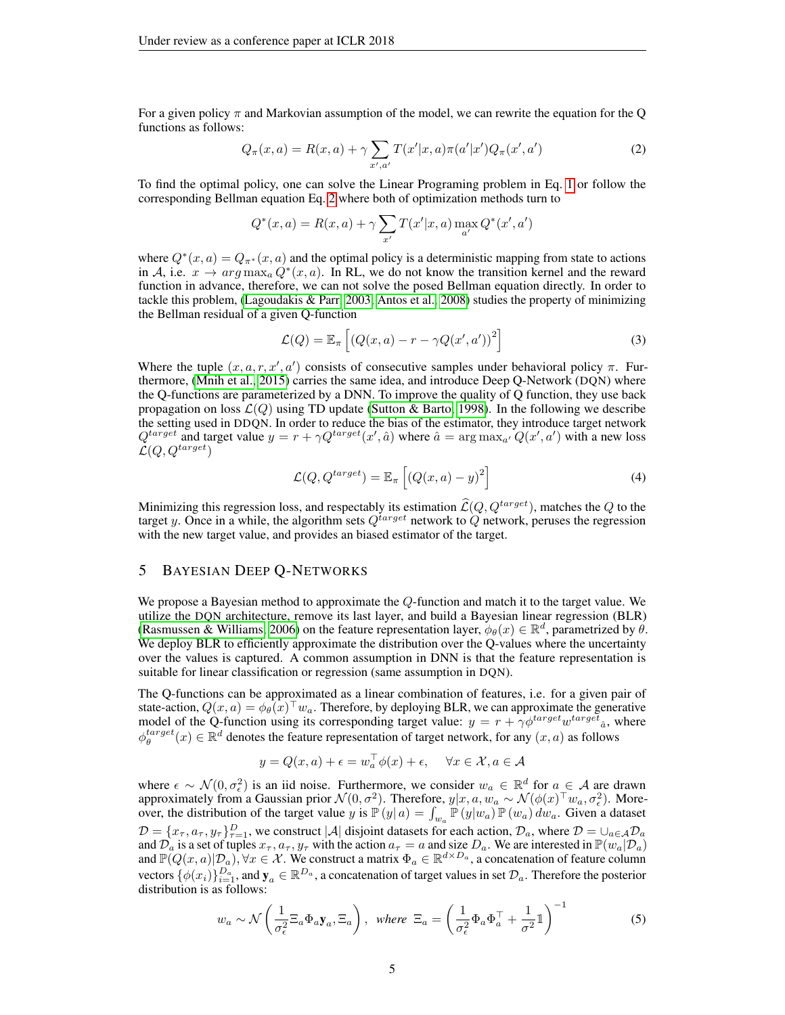For a given policy  $\pi$  and Markovian assumption of the model, we can rewrite the equation for the Q functions as follows:

$$
Q_{\pi}(x, a) = R(x, a) + \gamma \sum_{x', a'} T(x'|x, a) \pi(a'|x') Q_{\pi}(x', a')
$$
 (2)

To find the optimal policy, one can solve the Linear Programing problem in Eq. [1](#page-3-1) or follow the corresponding Bellman equation Eq. [2](#page-4-0) where both of optimization methods turn to

<span id="page-4-0"></span>
$$
Q^*(x, a) = R(x, a) + \gamma \sum_{x'} T(x'|x, a) \max_{a'} Q^*(x', a')
$$

where  $Q^*(x, a) = Q_{\pi^*}(x, a)$  and the optimal policy is a deterministic mapping from state to actions in A, i.e.  $x \to arg \max_a Q^*(x, a)$ . In RL, we do not know the transition kernel and the reward function in advance, therefore, we can not solve the posed Bellman equation directly. In order to tackle this problem, [\(Lagoudakis & Parr, 2003;](#page-10-20) [Antos et al., 2008\)](#page-9-19) studies the property of minimizing the Bellman residual of a given Q-function

$$
\mathcal{L}(Q) = \mathbb{E}_{\pi} \left[ \left( Q(x, a) - r - \gamma Q(x', a') \right)^2 \right] \tag{3}
$$

Where the tuple  $(x, a, r, x', a')$  consists of consecutive samples under behavioral policy  $\pi$ . Furthermore, [\(Mnih et al., 2015\)](#page-10-1) carries the same idea, and introduce Deep Q-Network (DQN) where the Q-functions are parameterized by a DNN. To improve the quality of Q function, they use back propagation on loss  $\mathcal{L}(Q)$  using TD update [\(Sutton & Barto, 1998\)](#page-11-11). In the following we describe the setting used in DDQN. In order to reduce the bias of the estimator, they introduce target network  $Q^{target}$  and target value  $y = r + \gamma Q^{target}(x', \hat{a})$  where  $\hat{a} = \arg \max_{a'} Q(x', a')$  with a new loss  $\mathcal{L}(Q, Q^{target})$ 

$$
\mathcal{L}(Q, Q^{target}) = \mathbb{E}_{\pi} \left[ \left( Q(x, a) - y \right)^2 \right] \tag{4}
$$

Minimizing this regression loss, and respectably its estimation  $\hat{\mathcal{L}}(Q, Q^{target})$ , matches the Q to the target y. Once in a while, the algorithm sets  $Q^{target}$  network to  $Q$  network, peruses the regression with the new target value, and provides an biased estimator of the target.

### 5 BAYESIAN DEEP Q-NETWORKS

We propose a Bayesian method to approximate the Q-function and match it to the target value. We utilize the DQN architecture, remove its last layer, and build a Bayesian linear regression (BLR) [\(Rasmussen & Williams, 2006\)](#page-10-21) on the feature representation layer,  $\phi_{\theta}(x) \in \mathbb{R}^d$ , parametrized by  $\theta$ . We deploy BLR to efficiently approximate the distribution over the Q-values where the uncertainty over the values is captured. A common assumption in DNN is that the feature representation is suitable for linear classification or regression (same assumption in DQN).

The Q-functions can be approximated as a linear combination of features, i.e. for a given pair of state-action,  $Q(x, a) = \phi_{\theta}(x)^{\top} w_a$ . Therefore, by deploying BLR, we can approximate the generative model of the Q-function using its corresponding target value:  $y = r + \gamma \phi^{target} w^{target} \hat{a}$ , where  $\phi_{\theta}^{target}(x) \in \mathbb{R}^d$  denotes the feature representation of target network, for any  $(x, a)$  as follows

<span id="page-4-1"></span>
$$
y = Q(x, a) + \epsilon = w_a^{\top} \phi(x) + \epsilon, \quad \forall x \in \mathcal{X}, a \in \mathcal{A}
$$

where  $\epsilon \sim \mathcal{N}(0, \sigma_{\epsilon}^2)$  is an iid noise. Furthermore, we consider  $w_a \in \mathbb{R}^d$  for  $a \in \mathcal{A}$  are drawn approximately from a Gaussian prior  $\mathcal{N}(0, \sigma^2)$ . Therefore,  $y|x, a, w_a \sim \mathcal{N}(\phi(x)^\top w_a, \sigma_\epsilon^2)$ . Moreover, the distribution of the target value y is  $\mathbb{P}(y|a) = \int_{w_a} \mathbb{P}(y|w_a) \mathbb{P}(w_a) dw_a$ . Given a dataset  $\mathcal{D} = \{x_\tau, a_\tau, y_\tau\}_{\tau=1}^D$ , we construct |A| disjoint datasets for each action,  $\mathcal{D}_a$ , where  $\mathcal{D} = \bigcup_{a \in \mathcal{A}} \mathcal{D}_a$ and  $\mathcal{D}_a$  is a set of tuples  $x_\tau, a_\tau, y_\tau$  with the action  $a_\tau = a$  and size  $D_a$ . We are interested in  $\mathbb{P}(w_a|\mathcal{D}_a)$ and  $\mathbb{P}(Q(x,a)|\mathcal{D}_a), \forall x \in \mathcal{X}$ . We construct a matrix  $\Phi_a \in \mathbb{R}^{d \times D_a}$ , a concatenation of feature column vectors  $\{\phi(x_i)\}_{i=1}^{D_a}$ , and  $y_a \in \mathbb{R}^{D_a}$ , a concatenation of target values in set  $\mathcal{D}_a$ . Therefore the posterior distribution is as follows:

$$
w_a \sim \mathcal{N}\left(\frac{1}{\sigma_\epsilon^2} \Xi_a \Phi_a \mathbf{y}_a, \Xi_a\right), \text{ where } \Xi_a = \left(\frac{1}{\sigma_\epsilon^2} \Phi_a \Phi_a^\top + \frac{1}{\sigma^2} \mathbb{1}\right)^{-1} \tag{5}
$$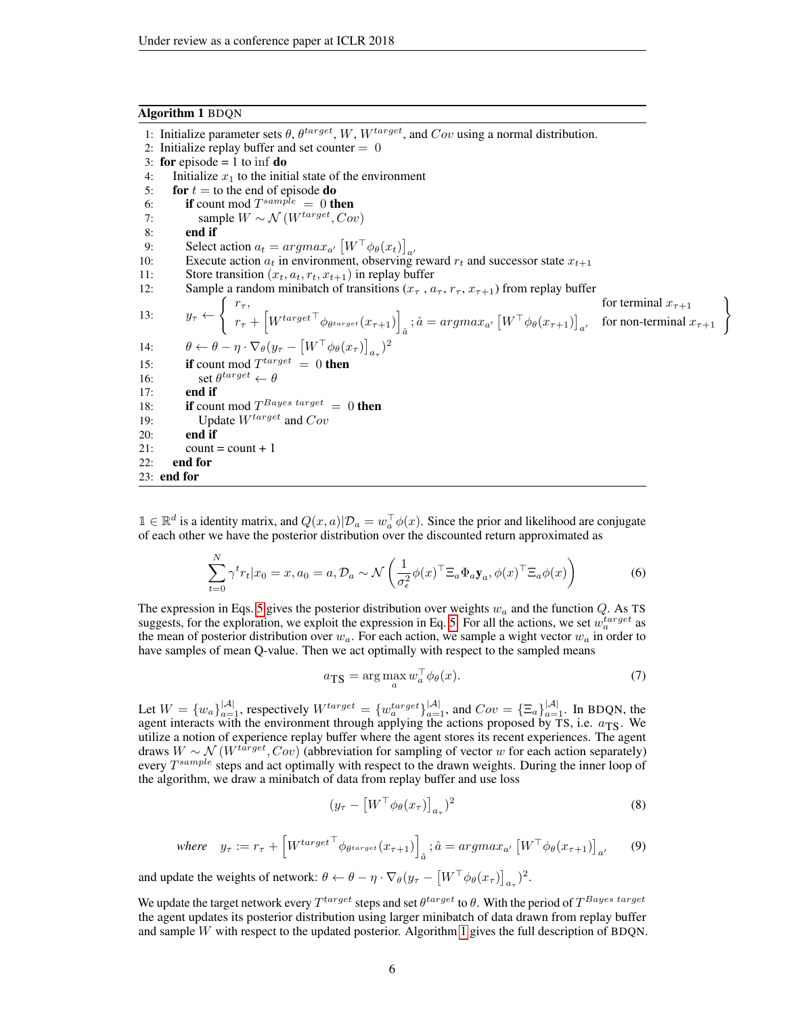#### Algorithm 1 BDQN

 $21:$  count = count + 1

<span id="page-5-0"></span>22: end for 23: end for

1: Initialize parameter sets  $\theta$ ,  $\theta^{target}$ ,  $W$ ,  $W^{target}$ , and  $Cov$  using a normal distribution. 2: Initialize replay buffer and set counter  $= 0$ 3: for episode  $= 1$  to inf **do** 4: Initialize  $x_1$  to the initial state of the environment<br>5: **for**  $t =$  to the end of episode **do** for  $t =$  to the end of episode do 6: **if** count mod  $T^{sample} = 0$  then 7: sample  $W \sim \mathcal{N}(W^{target}, Cov)$ 8: end if 9: Select action  $a_t = argmax_{a'} [W^\top \phi_\theta(x_t)]_{a'}$ 10: Execute action  $a_t$  in environment, observing reward  $r_t$  and successor state  $x_{t+1}$ 

\n- 11: Store transition 
$$
(x_t, a_t, r_t, x_{t+1})
$$
 in replay buffer
\n- 12: Sample a random minibatch of transitions  $(x_{\tau}, a_{\tau}, r_{\tau}, x_{\tau+1})$  from replay buffer for terminal  $x_{\tau+1}$
\n- 13:  $y_{\tau} \leftarrow \begin{cases} r_{\tau}, & \text{for terminal } x_{\tau+1} \\ r_{\tau} + \begin{bmatrix} W^{target \top} \phi_{\theta^{target}}(x_{\tau+1}) \end{bmatrix}_{\hat{a}}, \hat{a} = argmax_{a'} \begin{bmatrix} W^{\top} \phi_{\theta}(x_{\tau+1}) \end{bmatrix}_{a'} \text{ for non-terminal } x_{\tau+1} \end{cases}$
\n- 14:  $\theta \leftarrow \theta - \eta \cdot \nabla_{\theta}(y_{\tau} - \begin{bmatrix} W^{\top} \phi_{\theta}(x_{\tau}) \end{bmatrix}_{a_{\tau}})^2$
\n- 15: **if** count mod  $T^{target} = 0$  **then**
\n- 16: **set**  $\theta^{target} \leftarrow \theta$
\n- 17: **end if**
\n- 18: **if** count mod  $T^{Bayes\ target} = 0$  **then**
\n- 19: **Update**  $W^{target}$  and  $Cov$
\n- 20: **end if**
\n

 $1 \in \mathbb{R}^d$  is a identity matrix, and  $Q(x, a)|\mathcal{D}_a = w_a^\top \phi(x)$ . Since the prior and likelihood are conjugate of each other we have the posterior distribution over the discounted return approximated as

$$
\sum_{t=0}^{N} \gamma^t r_t | x_0 = x, a_0 = a, \mathcal{D}_a \sim \mathcal{N}\left(\frac{1}{\sigma_\epsilon^2} \phi(x)^\top \Xi_a \Phi_a \mathbf{y}_a, \phi(x)^\top \Xi_a \phi(x)\right) \tag{6}
$$

The expression in Eqs. [5](#page-4-1) gives the posterior distribution over weights  $w_a$  and the function  $Q$ . As TS suggests, for the exploration, we exploit the expression in Eq. [5.](#page-4-1) For all the actions, we set  $w_a^{target}$  as the mean of posterior distribution over  $w_a$ . For each action, we sample a wight vector  $w_a$  in order to have samples of mean Q-value. Then we act optimally with respect to the sampled means

$$
a_{\text{TS}} = \arg\max_{a} w_a^{\top} \phi_\theta(x). \tag{7}
$$

Let  $W = \{w_a\}_{a=1}^{|\mathcal{A}|}$ , respectively  $W^{target} = \{w_a^{target}\}_{a=1}^{|\mathcal{A}|}$ , and  $Cov = \{\Xi_a\}_{a=1}^{|\mathcal{A}|}$ . In BDQN, the agent interacts with the environment through applying the actions proposed by TS, i.e.  $a_{TS}$ . We utilize a notion of experience replay buffer where the agent stores its recent experiences. The agent draws  $W \sim \mathcal{N}(W^{target}, Cov)$  (abbreviation for sampling of vector w for each action separately) every  $T^{sample}$  steps and act optimally with respect to the drawn weights. During the inner loop of the algorithm, we draw a minibatch of data from replay buffer and use loss

$$
(y_{\tau} - \left[W^{\top} \phi_{\theta}(x_{\tau})\right]_{a_{\tau}})^2
$$
\n(8)

where 
$$
y_{\tau} := r_{\tau} + \left[W^{target \top} \phi_{\theta^{target}}(x_{\tau+1})\right]_{\hat{a}}; \hat{a} = argmax_{a'} \left[W^{\top} \phi_{\theta}(x_{\tau+1})\right]_{a'}
$$
 (9)

and update the weights of network:  $\theta \leftarrow \theta - \eta \cdot \nabla_{\theta} (y_{\tau} - \left[ W^{\top} \phi_{\theta} (x_{\tau}) \right]_{a_{\tau}})^2$ .

We update the target network every  $T^{target}$  steps and set  $\theta^{target}$  to  $\theta$ . With the period of  $T^{Bayes\ target}$ the agent updates its posterior distribution using larger minibatch of data drawn from replay buffer and sample W with respect to the updated posterior. Algorithm [1](#page-5-0) gives the full description of BDQN.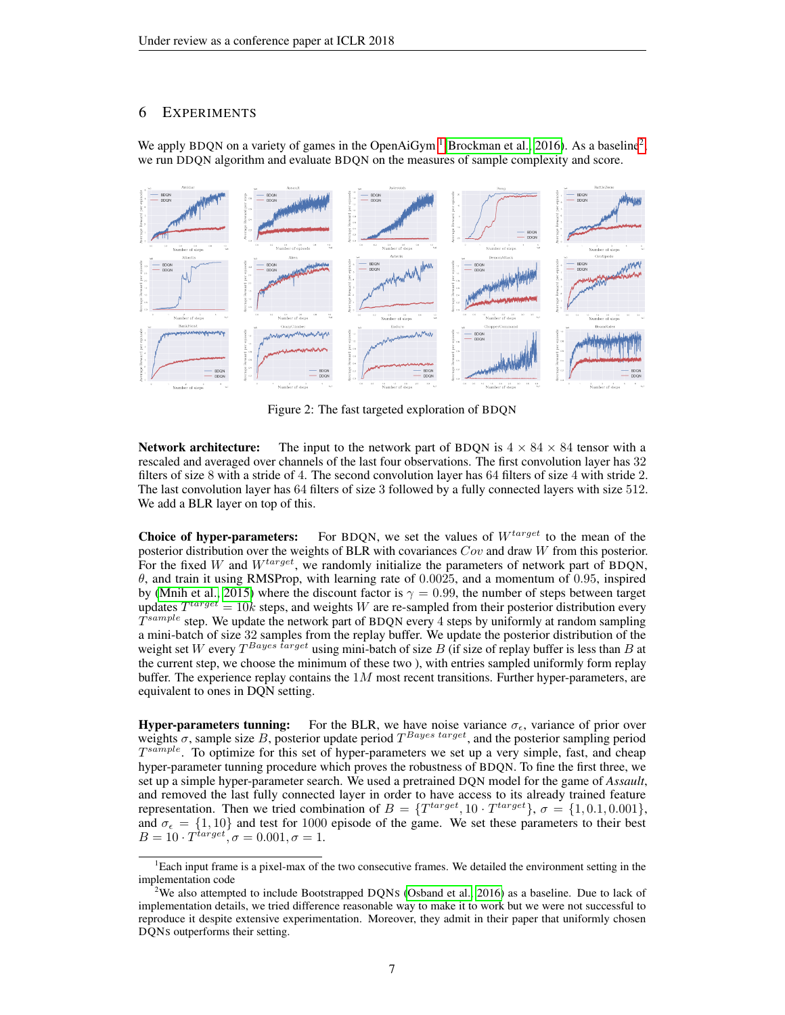## 6 EXPERIMENTS

We apply BDQN on a variety of games in the OpenAiGym  $^{1}$  $^{1}$  $^{1}$ [\(Brockman et al., 2016\)](#page-9-3). As a baseline<sup>[2](#page-0-0)</sup>, we run DDQN algorithm and evaluate BDQN on the measures of sample complexity and score.

<span id="page-6-0"></span>

Figure 2: The fast targeted exploration of BDQN

**Network architecture:** The input to the network part of BDQN is  $4 \times 84 \times 84$  tensor with a rescaled and averaged over channels of the last four observations. The first convolution layer has 32 filters of size 8 with a stride of 4. The second convolution layer has 64 filters of size 4 with stride 2. The last convolution layer has 64 filters of size 3 followed by a fully connected layers with size 512. We add a BLR layer on top of this.

**Choice of hyper-parameters:** For BDQN, we set the values of  $W^{target}$  to the mean of the posterior distribution over the weights of BLR with covariances  $Cov$  and draw W from this posterior. For the fixed W and  $W^{target}$ , we randomly initialize the parameters of network part of BDQN,  $\theta$ , and train it using RMSProp, with learning rate of 0.0025, and a momentum of 0.95, inspired by [\(Mnih et al., 2015\)](#page-10-1) where the discount factor is  $\gamma = 0.99$ , the number of steps between target updates  $T^{target} = 10k$  steps, and weights W are re-sampled from their posterior distribution every  $\hat{T}^{sample}$  step. We update the network part of BDQN every 4 steps by uniformly at random sampling a mini-batch of size 32 samples from the replay buffer. We update the posterior distribution of the weight set W every  $T^{Bayes\;target}$  using mini-batch of size B (if size of replay buffer is less than B at the current step, we choose the minimum of these two ), with entries sampled uniformly form replay buffer. The experience replay contains the  $1M$  most recent transitions. Further hyper-parameters, are equivalent to ones in DQN setting.

**Hyper-parameters tunning:** For the BLR, we have noise variance  $\sigma_{\epsilon}$ , variance of prior over weights  $\sigma$ , sample size B, posterior update period  $T^{Bayes\ target}$ , and the posterior sampling period  $T^{sample}$ . To optimize for this set of hyper-parameters we set up a very simple, fast, and cheap hyper-parameter tunning procedure which proves the robustness of BDQN. To fine the first three, we set up a simple hyper-parameter search. We used a pretrained DQN model for the game of *Assault*, and removed the last fully connected layer in order to have access to its already trained feature representation. Then we tried combination of  $B = \{T^{target}, 10 \cdot T^{target}\}, \sigma = \{1, 0.1, 0.001\},\$ and  $\sigma_{\epsilon} = \{1, 10\}$  and test for 1000 episode of the game. We set these parameters to their best  $B=10\cdot T^{\hat{t}arget}, \sigma=0.001, \sigma=1.$ 

<sup>&</sup>lt;sup>1</sup>Each input frame is a pixel-max of the two consecutive frames. We detailed the environment setting in the implementation code

<sup>&</sup>lt;sup>2</sup>We also attempted to include Bootstrapped DONS [\(Osband et al., 2016\)](#page-10-16) as a baseline. Due to lack of implementation details, we tried difference reasonable way to make it to work but we were not successful to reproduce it despite extensive experimentation. Moreover, they admit in their paper that uniformly chosen DQNS outperforms their setting.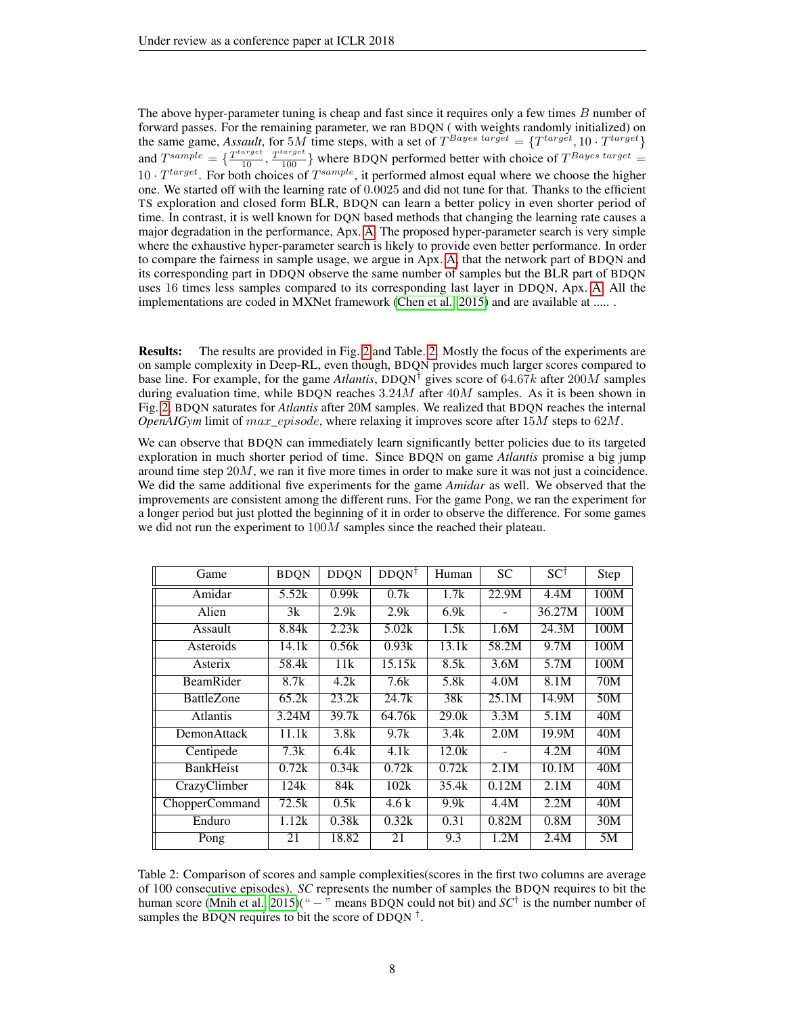The above hyper-parameter tuning is cheap and fast since it requires only a few times B number of forward passes. For the remaining parameter, we ran BDQN ( with weights randomly initialized) on the same game, *Assault*, for 5*M* time steps, with a set of  $T^{Bayes\ target} = \{T^{target}, 10 \cdot T^{target}\}$ and  $T^{sample} = \{\frac{T^{target}}{10}, \frac{T^{target}}{100}\}$  where BDQN performed better with choice of  $T^{Bayes\ target} =$  $10 \cdot T^{target}$ . For both choices of  $T^{sample}$ , it performed almost equal where we choose the higher one. We started off with the learning rate of 0.0025 and did not tune for that. Thanks to the efficient TS exploration and closed form BLR, BDQN can learn a better policy in even shorter period of time. In contrast, it is well known for DQN based methods that changing the learning rate causes a major degradation in the performance, Apx. [A.](#page-12-0) The proposed hyper-parameter search is very simple where the exhaustive hyper-parameter search is likely to provide even better performance. In order to compare the fairness in sample usage, we argue in Apx. [A,](#page-12-0) that the network part of BDQN and its corresponding part in DDQN observe the same number of samples but the BLR part of BDQN uses 16 times less samples compared to its corresponding last layer in DDQN, Apx. [A.](#page-12-0) All the implementations are coded in MXNet framework [\(Chen et al., 2015\)](#page-9-20) and are available at ......

Results: The results are provided in Fig. [2](#page-6-0) and Table. [2.](#page-7-0) Mostly the focus of the experiments are on sample complexity in Deep-RL, even though, BDQN provides much larger scores compared to base line. For example, for the game *Atlantis*, DDQN† gives score of 64.67k after 200M samples during evaluation time, while BDQN reaches  $3.24M$  after  $40M$  samples. As it is been shown in Fig. [2,](#page-6-0) BDQN saturates for *Atlantis* after 20M samples. We realized that BDQN reaches the internal *OpenAIGym* limit of max\_episode, where relaxing it improves score after 15M steps to 62M.

We can observe that BDQN can immediately learn significantly better policies due to its targeted exploration in much shorter period of time. Since BDQN on game *Atlantis* promise a big jump around time step  $20M$ , we ran it five more times in order to make sure it was not just a coincidence. We did the same additional five experiments for the game *Amidar* as well. We observed that the improvements are consistent among the different runs. For the game Pong, we ran the experiment for a longer period but just plotted the beginning of it in order to observe the difference. For some games we did not run the experiment to  $100M$  samples since the reached their plateau.

<span id="page-7-0"></span>

| Game               | <b>BDQN</b> | <b>DDQN</b>        | $DDQN^{\dagger}$ | Human | <b>SC</b> | $SC^{\dagger}$ | Step |
|--------------------|-------------|--------------------|------------------|-------|-----------|----------------|------|
| Amidar             | 5.52k       | 0.99k              | 0.7k             | 1.7k  | 22.9M     | 4.4M           | 100M |
| Alien              | 3k          | 2.9k               | 2.9k             | 6.9k  |           | 36.27M         | 100M |
| Assault            | 8.84k       | 2.23k              | 5.02k            | 1.5k  | 1.6M      | 24.3M          | 100M |
| Asteroids          | 14.1k       | 0.56k              | 0.93k            | 13.1k | 58.2M     | 9.7M           | 100M |
| Asterix            | 58.4k       | 11k                | 15.15k           | 8.5k  | 3.6M      | 5.7M           | 100M |
| BeamRider          | 8.7k        | 4.2k               | 7.6k             | 5.8k  | 4.0M      | 8.1M           | 70M  |
| <b>BattleZone</b>  | 65.2k       | 23.2k              | 24.7k            | 38k   | 25.1M     | 14.9M          | 50M  |
| <b>Atlantis</b>    | 3.24M       | $\overline{39.7k}$ | 64.76k           | 29.0k | 3.3M      | 5.1M           | 40M  |
| <b>DemonAttack</b> | 11.1k       | 3.8k               | 9.7k             | 3.4k  | 2.0M      | 19.9M          | 40M  |
| Centipede          | 7.3k        | 6.4k               | 4.1k             | 12.0k |           | 4.2M           | 40M  |
| <b>BankHeist</b>   | 0.72k       | 0.34k              | 0.72k            | 0.72k | 2.1M      | 10.1M          | 40M  |
| CrazyClimber       | 124k        | 84k                | 102k             | 35.4k | 0.12M     | 2.1M           | 40M  |
| ChopperCommand     | 72.5k       | 0.5k               | 4.6k             | 9.9k  | 4.4M      | 2.2M           | 40M  |
| Enduro             | 1.12k       | 0.38k              | 0.32k            | 0.31  | 0.82M     | 0.8M           | 30M  |
| Pong               | 21          | 18.82              | 21               | 9.3   | 1.2M      | 2.4M           | 5M   |

Table 2: Comparison of scores and sample complexities(scores in the first two columns are average of 100 consecutive episodes). *SC* represents the number of samples the BDQN requires to bit the human score [\(Mnih et al., 2015\)](#page-10-1)("  $-$  " means BDQN could not bit) and  $SC^{\dagger}$  is the number number of samples the BDQN requires to bit the score of DDQN  $^{\dagger}$ .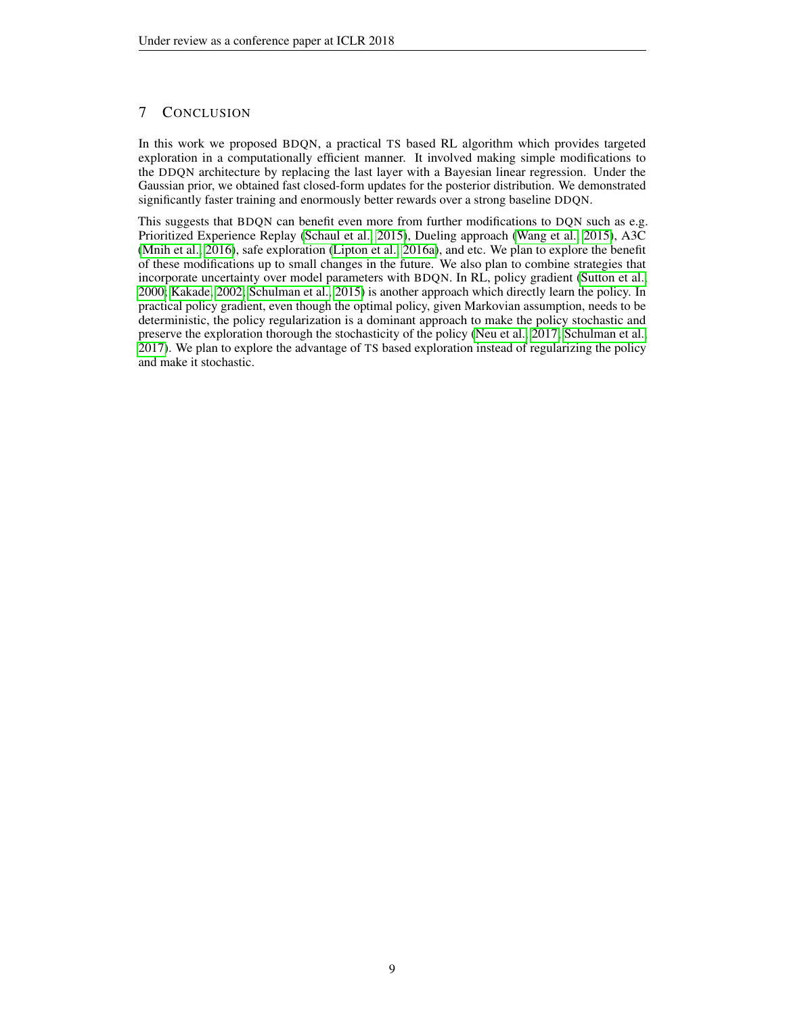## 7 CONCLUSION

In this work we proposed BDQN, a practical TS based RL algorithm which provides targeted exploration in a computationally efficient manner. It involved making simple modifications to the DDQN architecture by replacing the last layer with a Bayesian linear regression. Under the Gaussian prior, we obtained fast closed-form updates for the posterior distribution. We demonstrated significantly faster training and enormously better rewards over a strong baseline DDQN.

This suggests that BDQN can benefit even more from further modifications to DQN such as e.g. Prioritized Experience Replay [\(Schaul et al., 2015\)](#page-11-4), Dueling approach [\(Wang et al., 2015\)](#page-11-5), A3C [\(Mnih et al., 2016\)](#page-10-2), safe exploration [\(Lipton et al., 2016a\)](#page-10-3), and etc. We plan to explore the benefit of these modifications up to small changes in the future. We also plan to combine strategies that incorporate uncertainty over model parameters with BDQN. In RL, policy gradient [\(Sutton et al.,](#page-11-12) [2000;](#page-11-12) [Kakade, 2002;](#page-10-22) [Schulman et al., 2015\)](#page-11-13) is another approach which directly learn the policy. In practical policy gradient, even though the optimal policy, given Markovian assumption, needs to be deterministic, the policy regularization is a dominant approach to make the policy stochastic and preserve the exploration thorough the stochasticity of the policy [\(Neu et al., 2017;](#page-10-23) [Schulman et al.,](#page-11-14) [2017\)](#page-11-14). We plan to explore the advantage of TS based exploration instead of regularizing the policy and make it stochastic.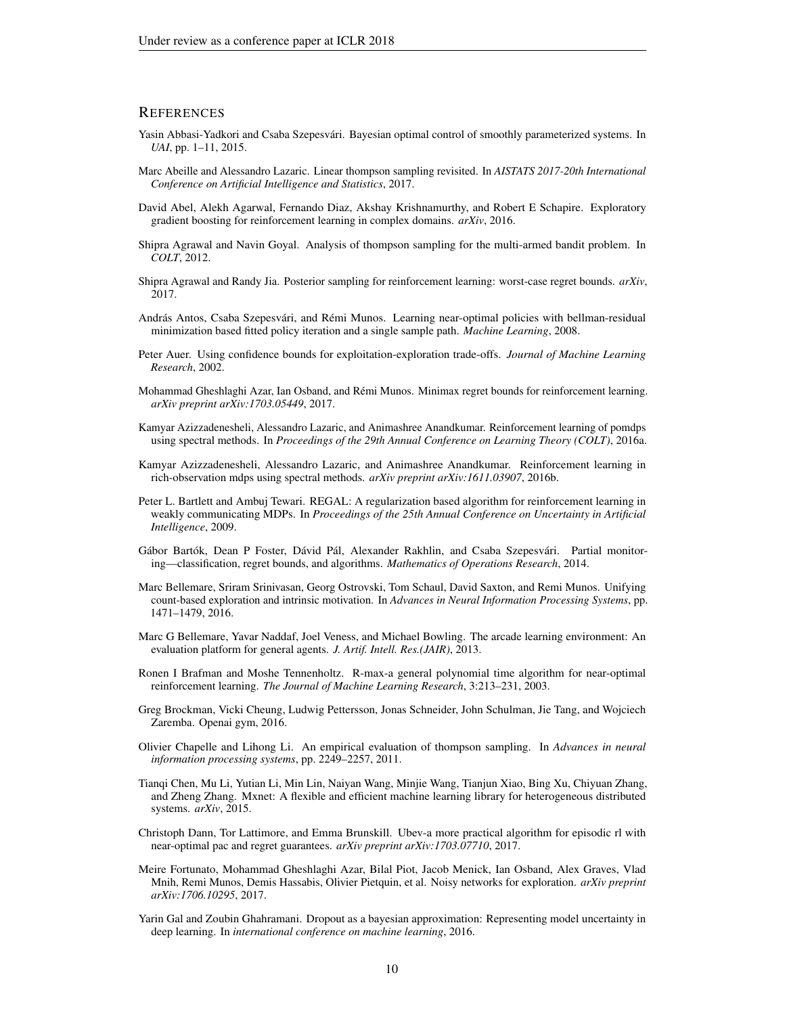#### **REFERENCES**

- <span id="page-9-14"></span>Yasin Abbasi-Yadkori and Csaba Szepesvári. Bayesian optimal control of smoothly parameterized systems. In *UAI*, pp. 1–11, 2015.
- <span id="page-9-12"></span>Marc Abeille and Alessandro Lazaric. Linear thompson sampling revisited. In *AISTATS 2017-20th International Conference on Artificial Intelligence and Statistics*, 2017.
- <span id="page-9-15"></span>David Abel, Alekh Agarwal, Fernando Diaz, Akshay Krishnamurthy, and Robert E Schapire. Exploratory gradient boosting for reinforcement learning in complex domains. *arXiv*, 2016.
- <span id="page-9-11"></span>Shipra Agrawal and Navin Goyal. Analysis of thompson sampling for the multi-armed bandit problem. In *COLT*, 2012.
- <span id="page-9-13"></span>Shipra Agrawal and Randy Jia. Posterior sampling for reinforcement learning: worst-case regret bounds. *arXiv*, 2017.
- <span id="page-9-19"></span>András Antos, Csaba Szepesvári, and Rémi Munos. Learning near-optimal policies with bellman-residual minimization based fitted policy iteration and a single sample path. *Machine Learning*, 2008.
- <span id="page-9-7"></span>Peter Auer. Using confidence bounds for exploitation-exploration trade-offs. *Journal of Machine Learning Research*, 2002.
- <span id="page-9-5"></span>Mohammad Gheshlaghi Azar, Ian Osband, and Rémi Munos. Minimax regret bounds for reinforcement learning. *arXiv preprint arXiv:1703.05449*, 2017.
- <span id="page-9-8"></span>Kamyar Azizzadenesheli, Alessandro Lazaric, and Animashree Anandkumar. Reinforcement learning of pomdps using spectral methods. In *Proceedings of the 29th Annual Conference on Learning Theory (COLT)*, 2016a.
- <span id="page-9-16"></span>Kamyar Azizzadenesheli, Alessandro Lazaric, and Animashree Anandkumar. Reinforcement learning in rich-observation mdps using spectral methods. *arXiv preprint arXiv:1611.03907*, 2016b.
- <span id="page-9-4"></span>Peter L. Bartlett and Ambuj Tewari. REGAL: A regularization based algorithm for reinforcement learning in weakly communicating MDPs. In *Proceedings of the 25th Annual Conference on Uncertainty in Artificial Intelligence*, 2009.
- <span id="page-9-9"></span>Gábor Bartók, Dean P Foster, Dávid Pál, Alexander Rakhlin, and Csaba Szepesvári. Partial monitoring—classification, regret bounds, and algorithms. *Mathematics of Operations Research*, 2014.
- <span id="page-9-0"></span>Marc Bellemare, Sriram Srinivasan, Georg Ostrovski, Tom Schaul, David Saxton, and Remi Munos. Unifying count-based exploration and intrinsic motivation. In *Advances in Neural Information Processing Systems*, pp. 1471–1479, 2016.
- <span id="page-9-2"></span>Marc G Bellemare, Yavar Naddaf, Joel Veness, and Michael Bowling. The arcade learning environment: An evaluation platform for general agents. *J. Artif. Intell. Res.(JAIR)*, 2013.
- <span id="page-9-1"></span>Ronen I Brafman and Moshe Tennenholtz. R-max-a general polynomial time algorithm for near-optimal reinforcement learning. *The Journal of Machine Learning Research*, 3:213–231, 2003.
- <span id="page-9-3"></span>Greg Brockman, Vicki Cheung, Ludwig Pettersson, Jonas Schneider, John Schulman, Jie Tang, and Wojciech Zaremba. Openai gym, 2016.
- <span id="page-9-10"></span>Olivier Chapelle and Lihong Li. An empirical evaluation of thompson sampling. In *Advances in neural information processing systems*, pp. 2249–2257, 2011.
- <span id="page-9-20"></span>Tianqi Chen, Mu Li, Yutian Li, Min Lin, Naiyan Wang, Minjie Wang, Tianjun Xiao, Bing Xu, Chiyuan Zhang, and Zheng Zhang. Mxnet: A flexible and efficient machine learning library for heterogeneous distributed systems. *arXiv*, 2015.
- <span id="page-9-6"></span>Christoph Dann, Tor Lattimore, and Emma Brunskill. Ubev-a more practical algorithm for episodic rl with near-optimal pac and regret guarantees. *arXiv preprint arXiv:1703.07710*, 2017.
- <span id="page-9-17"></span>Meire Fortunato, Mohammad Gheshlaghi Azar, Bilal Piot, Jacob Menick, Ian Osband, Alex Graves, Vlad Mnih, Remi Munos, Demis Hassabis, Olivier Pietquin, et al. Noisy networks for exploration. *arXiv preprint arXiv:1706.10295*, 2017.
- <span id="page-9-18"></span>Yarin Gal and Zoubin Ghahramani. Dropout as a bayesian approximation: Representing model uncertainty in deep learning. In *international conference on machine learning*, 2016.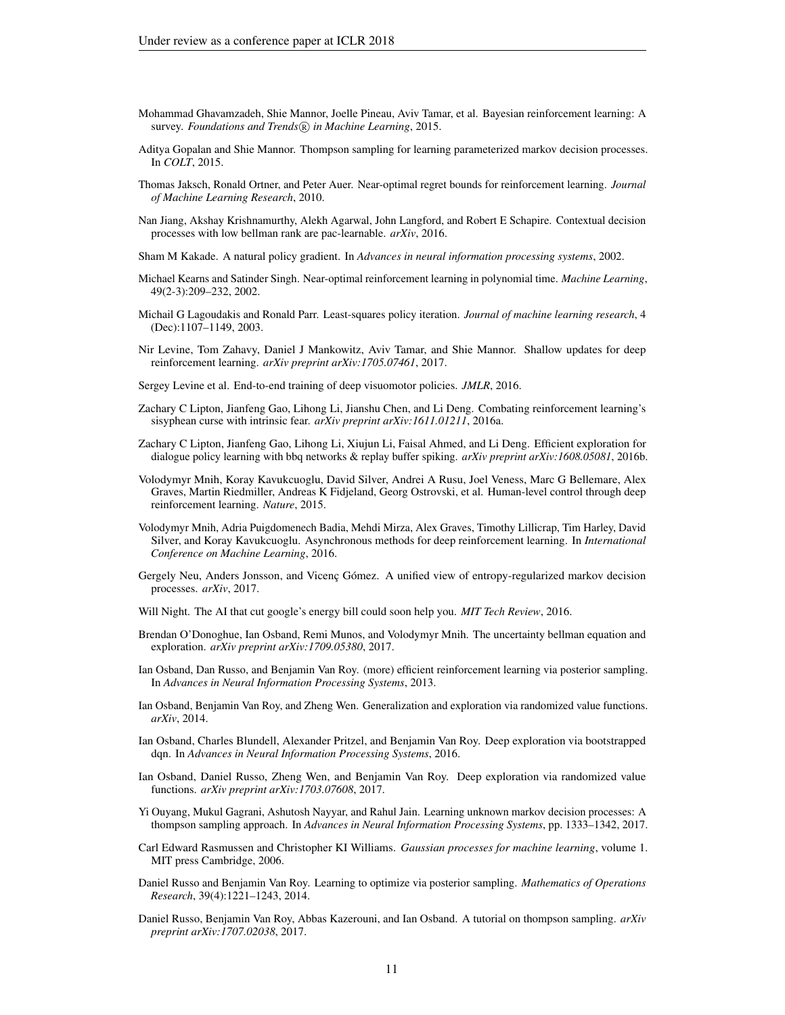- <span id="page-10-0"></span>Mohammad Ghavamzadeh, Shie Mannor, Joelle Pineau, Aviv Tamar, et al. Bayesian reinforcement learning: A survey. *Foundations and Trends* <sup>R</sup> *in Machine Learning*, 2015.
- <span id="page-10-7"></span>Aditya Gopalan and Shie Mannor. Thompson sampling for learning parameterized markov decision processes. In *COLT*, 2015.
- <span id="page-10-5"></span>Thomas Jaksch, Ronald Ortner, and Peter Auer. Near-optimal regret bounds for reinforcement learning. *Journal of Machine Learning Research*, 2010.
- <span id="page-10-11"></span>Nan Jiang, Akshay Krishnamurthy, Alekh Agarwal, John Langford, and Robert E Schapire. Contextual decision processes with low bellman rank are pac-learnable. *arXiv*, 2016.
- <span id="page-10-22"></span>Sham M Kakade. A natural policy gradient. In *Advances in neural information processing systems*, 2002.
- <span id="page-10-4"></span>Michael Kearns and Satinder Singh. Near-optimal reinforcement learning in polynomial time. *Machine Learning*, 49(2-3):209–232, 2002.
- <span id="page-10-20"></span>Michail G Lagoudakis and Ronald Parr. Least-squares policy iteration. *Journal of machine learning research*, 4 (Dec):1107–1149, 2003.
- <span id="page-10-19"></span>Nir Levine, Tom Zahavy, Daniel J Mankowitz, Aviv Tamar, and Shie Mannor. Shallow updates for deep reinforcement learning. *arXiv preprint arXiv:1705.07461*, 2017.
- <span id="page-10-12"></span>Sergey Levine et al. End-to-end training of deep visuomotor policies. *JMLR*, 2016.
- <span id="page-10-3"></span>Zachary C Lipton, Jianfeng Gao, Lihong Li, Jianshu Chen, and Li Deng. Combating reinforcement learning's sisyphean curse with intrinsic fear. *arXiv preprint arXiv:1611.01211*, 2016a.
- <span id="page-10-17"></span>Zachary C Lipton, Jianfeng Gao, Lihong Li, Xiujun Li, Faisal Ahmed, and Li Deng. Efficient exploration for dialogue policy learning with bbq networks & replay buffer spiking. *arXiv preprint arXiv:1608.05081*, 2016b.
- <span id="page-10-1"></span>Volodymyr Mnih, Koray Kavukcuoglu, David Silver, Andrei A Rusu, Joel Veness, Marc G Bellemare, Alex Graves, Martin Riedmiller, Andreas K Fidjeland, Georg Ostrovski, et al. Human-level control through deep reinforcement learning. *Nature*, 2015.
- <span id="page-10-2"></span>Volodymyr Mnih, Adria Puigdomenech Badia, Mehdi Mirza, Alex Graves, Timothy Lillicrap, Tim Harley, David Silver, and Koray Kavukcuoglu. Asynchronous methods for deep reinforcement learning. In *International Conference on Machine Learning*, 2016.
- <span id="page-10-23"></span>Gergely Neu, Anders Jonsson, and Vicenç Gómez. A unified view of entropy-regularized markov decision processes. *arXiv*, 2017.
- <span id="page-10-13"></span>Will Night. The AI that cut google's energy bill could soon help you. *MIT Tech Review*, 2016.
- <span id="page-10-18"></span>Brendan O'Donoghue, Ian Osband, Remi Munos, and Volodymyr Mnih. The uncertainty bellman equation and exploration. *arXiv preprint arXiv:1709.05380*, 2017.
- <span id="page-10-8"></span>Ian Osband, Dan Russo, and Benjamin Van Roy. (more) efficient reinforcement learning via posterior sampling. In *Advances in Neural Information Processing Systems*, 2013.
- <span id="page-10-15"></span>Ian Osband, Benjamin Van Roy, and Zheng Wen. Generalization and exploration via randomized value functions. *arXiv*, 2014.
- <span id="page-10-16"></span>Ian Osband, Charles Blundell, Alexander Pritzel, and Benjamin Van Roy. Deep exploration via bootstrapped dqn. In *Advances in Neural Information Processing Systems*, 2016.
- <span id="page-10-14"></span>Ian Osband, Daniel Russo, Zheng Wen, and Benjamin Van Roy. Deep exploration via randomized value functions. *arXiv preprint arXiv:1703.07608*, 2017.
- <span id="page-10-9"></span>Yi Ouyang, Mukul Gagrani, Ashutosh Nayyar, and Rahul Jain. Learning unknown markov decision processes: A thompson sampling approach. In *Advances in Neural Information Processing Systems*, pp. 1333–1342, 2017.
- <span id="page-10-21"></span>Carl Edward Rasmussen and Christopher KI Williams. *Gaussian processes for machine learning*, volume 1. MIT press Cambridge, 2006.
- <span id="page-10-6"></span>Daniel Russo and Benjamin Van Roy. Learning to optimize via posterior sampling. *Mathematics of Operations Research*, 39(4):1221–1243, 2014.
- <span id="page-10-10"></span>Daniel Russo, Benjamin Van Roy, Abbas Kazerouni, and Ian Osband. A tutorial on thompson sampling. *arXiv preprint arXiv:1707.02038*, 2017.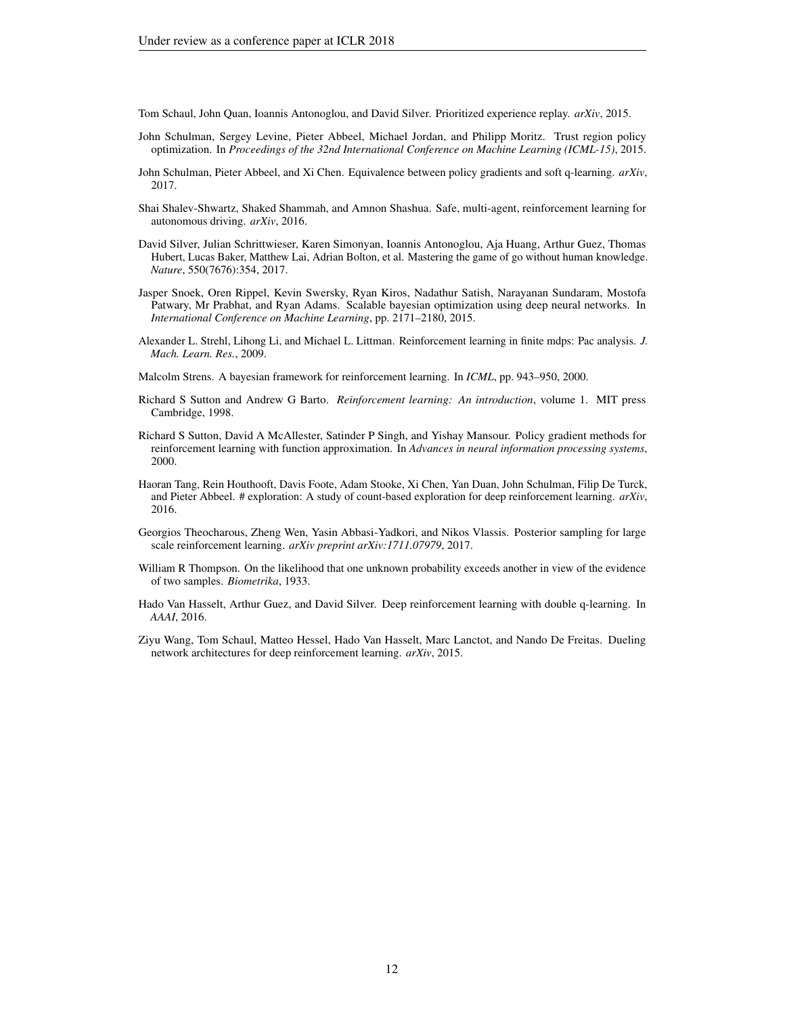<span id="page-11-4"></span>Tom Schaul, John Quan, Ioannis Antonoglou, and David Silver. Prioritized experience replay. *arXiv*, 2015.

- <span id="page-11-13"></span>John Schulman, Sergey Levine, Pieter Abbeel, Michael Jordan, and Philipp Moritz. Trust region policy optimization. In *Proceedings of the 32nd International Conference on Machine Learning (ICML-15)*, 2015.
- <span id="page-11-14"></span>John Schulman, Pieter Abbeel, and Xi Chen. Equivalence between policy gradients and soft q-learning. *arXiv*, 2017.
- <span id="page-11-9"></span>Shai Shalev-Shwartz, Shaked Shammah, and Amnon Shashua. Safe, multi-agent, reinforcement learning for autonomous driving. *arXiv*, 2016.
- <span id="page-11-8"></span>David Silver, Julian Schrittwieser, Karen Simonyan, Ioannis Antonoglou, Aja Huang, Arthur Guez, Thomas Hubert, Lucas Baker, Matthew Lai, Adrian Bolton, et al. Mastering the game of go without human knowledge. *Nature*, 550(7676):354, 2017.
- <span id="page-11-10"></span>Jasper Snoek, Oren Rippel, Kevin Swersky, Ryan Kiros, Nadathur Satish, Narayanan Sundaram, Mostofa Patwary, Mr Prabhat, and Ryan Adams. Scalable bayesian optimization using deep neural networks. In *International Conference on Machine Learning*, pp. 2171–2180, 2015.
- <span id="page-11-6"></span>Alexander L. Strehl, Lihong Li, and Michael L. Littman. Reinforcement learning in finite mdps: Pac analysis. *J. Mach. Learn. Res.*, 2009.

<span id="page-11-2"></span>Malcolm Strens. A bayesian framework for reinforcement learning. In *ICML*, pp. 943–950, 2000.

- <span id="page-11-11"></span>Richard S Sutton and Andrew G Barto. *Reinforcement learning: An introduction*, volume 1. MIT press Cambridge, 1998.
- <span id="page-11-12"></span>Richard S Sutton, David A McAllester, Satinder P Singh, and Yishay Mansour. Policy gradient methods for reinforcement learning with function approximation. In *Advances in neural information processing systems*, 2000.
- <span id="page-11-0"></span>Haoran Tang, Rein Houthooft, Davis Foote, Adam Stooke, Xi Chen, Yan Duan, John Schulman, Filip De Turck, and Pieter Abbeel. # exploration: A study of count-based exploration for deep reinforcement learning. *arXiv*, 2016.
- <span id="page-11-7"></span>Georgios Theocharous, Zheng Wen, Yasin Abbasi-Yadkori, and Nikos Vlassis. Posterior sampling for large scale reinforcement learning. *arXiv preprint arXiv:1711.07979*, 2017.
- <span id="page-11-1"></span>William R Thompson. On the likelihood that one unknown probability exceeds another in view of the evidence of two samples. *Biometrika*, 1933.
- <span id="page-11-3"></span>Hado Van Hasselt, Arthur Guez, and David Silver. Deep reinforcement learning with double q-learning. In *AAAI*, 2016.
- <span id="page-11-5"></span>Ziyu Wang, Tom Schaul, Matteo Hessel, Hado Van Hasselt, Marc Lanctot, and Nando De Freitas. Dueling network architectures for deep reinforcement learning. *arXiv*, 2015.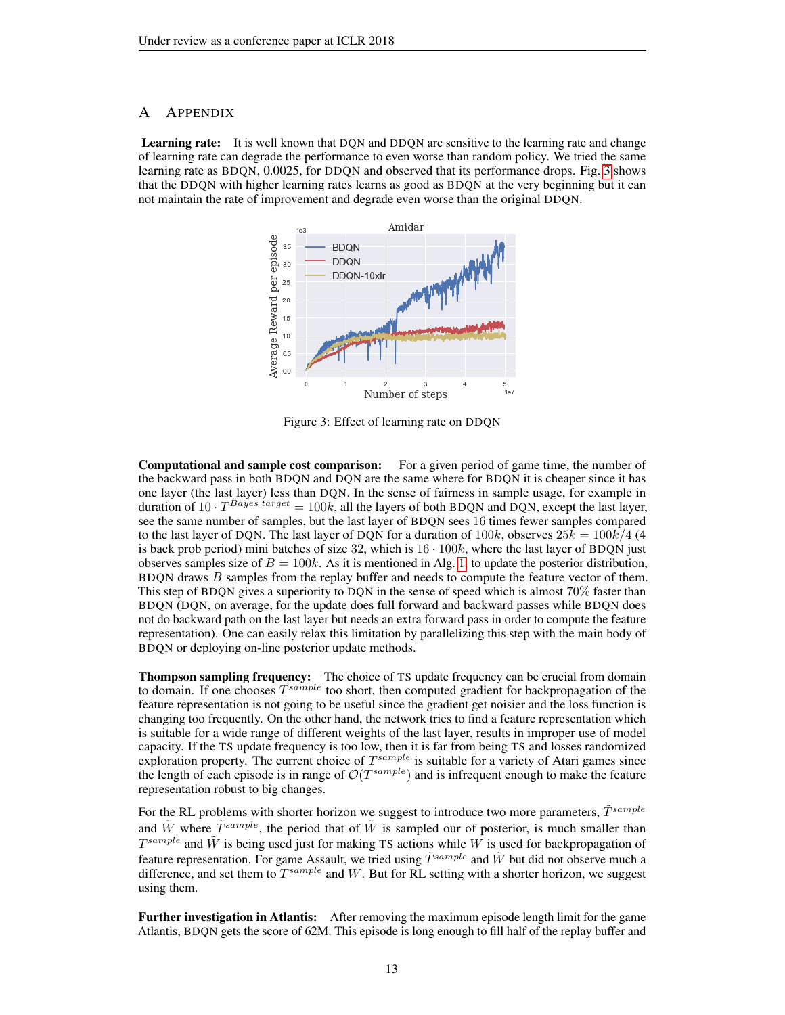### <span id="page-12-0"></span>A APPENDIX

<span id="page-12-1"></span>**Learning rate:** It is well known that DQN and DDQN are sensitive to the learning rate and change of learning rate can degrade the performance to even worse than random policy. We tried the same learning rate as BDQN, 0.0025, for DDQN and observed that its performance drops. Fig. [3](#page-12-1) shows that the DDQN with higher learning rates learns as good as BDQN at the very beginning but it can not maintain the rate of improvement and degrade even worse than the original DDQN.



Figure 3: Effect of learning rate on DDQN

Computational and sample cost comparison: For a given period of game time, the number of the backward pass in both BDQN and DQN are the same where for BDQN it is cheaper since it has one layer (the last layer) less than DQN. In the sense of fairness in sample usage, for example in duration of 10 ·  $T^{Bayes\ target} = 100k$ , all the layers of both BDQN and DQN, except the last layer, see the same number of samples, but the last layer of BDQN sees 16 times fewer samples compared to the last layer of DQN. The last layer of DQN for a duration of  $100k$ , observes  $25k = 100k/4$  (4 is back prob period) mini batches of size  $32$ , which is  $16 \cdot 100k$ , where the last layer of BDQN just observes samples size of  $B = 100k$ . As it is mentioned in Alg. [1,](#page-5-0) to update the posterior distribution, BDQN draws B samples from the replay buffer and needs to compute the feature vector of them. This step of BDQN gives a superiority to DQN in the sense of speed which is almost 70% faster than BDQN (DQN, on average, for the update does full forward and backward passes while BDQN does not do backward path on the last layer but needs an extra forward pass in order to compute the feature representation). One can easily relax this limitation by parallelizing this step with the main body of BDQN or deploying on-line posterior update methods.

**Thompson sampling frequency:** The choice of TS update frequency can be crucial from domain to domain. If one chooses  $T^{sample}$  too short, then computed gradient for backpropagation of the feature representation is not going to be useful since the gradient get noisier and the loss function is changing too frequently. On the other hand, the network tries to find a feature representation which is suitable for a wide range of different weights of the last layer, results in improper use of model capacity. If the TS update frequency is too low, then it is far from being TS and losses randomized exploration property. The current choice of  $T^{sample}$  is suitable for a variety of Atari games since the length of each episode is in range of  $\mathcal{O}(T^{sample})$  and is infrequent enough to make the feature representation robust to big changes.

For the RL problems with shorter horizon we suggest to introduce two more parameters,  $\tilde{T}^{sample}$ and  $\tilde{W}$  where  $\tilde{T}^{sample}$ , the period that of  $\tilde{W}$  is sampled our of posterior, is much smaller than  $T^{sample}$  and  $\tilde{W}$  is being used just for making TS actions while W is used for backpropagation of feature representation. For game Assault, we tried using  $\tilde{T}^{sample}$  and  $\tilde{W}$  but did not observe much a difference, and set them to  $T^{sample}$  and W. But for RL setting with a shorter horizon, we suggest using them.

Further investigation in Atlantis: After removing the maximum episode length limit for the game Atlantis, BDQN gets the score of 62M. This episode is long enough to fill half of the replay buffer and